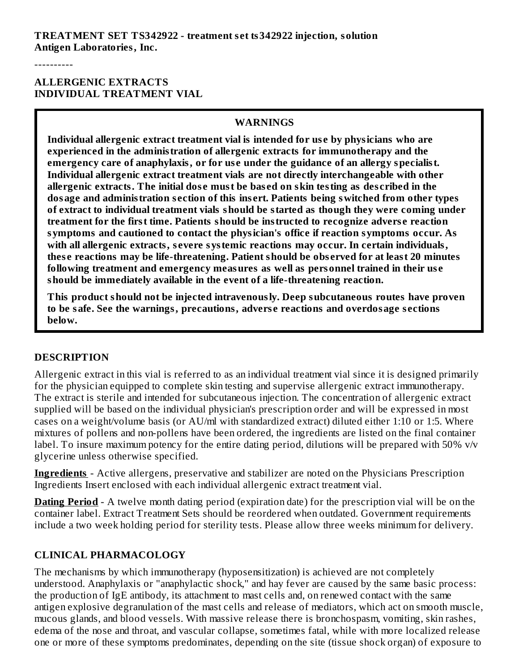**TREATMENT SET TS342922 - treatment s et ts342922 injection, solution Antigen Laboratories, Inc.**

----------

#### **ALLERGENIC EXTRACTS INDIVIDUAL TREATMENT VIAL**

#### **WARNINGS**

**Individual allergenic extract treatment vial is intended for us e by physicians who are experienced in the administration of allergenic extracts for immunotherapy and the emergency care of anaphylaxis, or for us e under the guidance of an allergy specialist. Individual allergenic extract treatment vials are not directly interchangeable with other allergenic extracts. The initial dos e must be bas ed on skin testing as des cribed in the dosage and administration s ection of this ins ert. Patients being switched from other types of extract to individual treatment vials should be started as though they were coming under treatment for the first time. Patients should be instructed to recognize advers e reaction symptoms and cautioned to contact the physician's office if reaction symptoms occur. As with all allergenic extracts, s evere systemic reactions may occur. In certain individuals, thes e reactions may be life-threatening. Patient should be obs erved for at least 20 minutes following treatment and emergency measures as well as personnel trained in their us e should be immediately available in the event of a life-threatening reaction.**

**This product should not be injected intravenously. Deep subcutaneous routes have proven to be safe. See the warnings, precautions, advers e reactions and overdosage s ections below.**

#### **DESCRIPTION**

Allergenic extract in this vial is referred to as an individual treatment vial since it is designed primarily for the physician equipped to complete skin testing and supervise allergenic extract immunotherapy. The extract is sterile and intended for subcutaneous injection. The concentration of allergenic extract supplied will be based on the individual physician's prescription order and will be expressed in most cases on a weight/volume basis (or AU/ml with standardized extract) diluted either 1:10 or 1:5. Where mixtures of pollens and non-pollens have been ordered, the ingredients are listed on the final container label. To insure maximum potency for the entire dating period, dilutions will be prepared with 50% v/v glycerine unless otherwise specified.

**Ingredients** - Active allergens, preservative and stabilizer are noted on the Physicians Prescription Ingredients Insert enclosed with each individual allergenic extract treatment vial.

**Dating Period** - A twelve month dating period (expiration date) for the prescription vial will be on the container label. Extract Treatment Sets should be reordered when outdated. Government requirements include a two week holding period for sterility tests. Please allow three weeks minimum for delivery.

### **CLINICAL PHARMACOLOGY**

The mechanisms by which immunotherapy (hyposensitization) is achieved are not completely understood. Anaphylaxis or "anaphylactic shock," and hay fever are caused by the same basic process: the production of IgE antibody, its attachment to mast cells and, on renewed contact with the same antigen explosive degranulation of the mast cells and release of mediators, which act on smooth muscle, mucous glands, and blood vessels. With massive release there is bronchospasm, vomiting, skin rashes, edema of the nose and throat, and vascular collapse, sometimes fatal, while with more localized release one or more of these symptoms predominates, depending on the site (tissue shock organ) of exposure to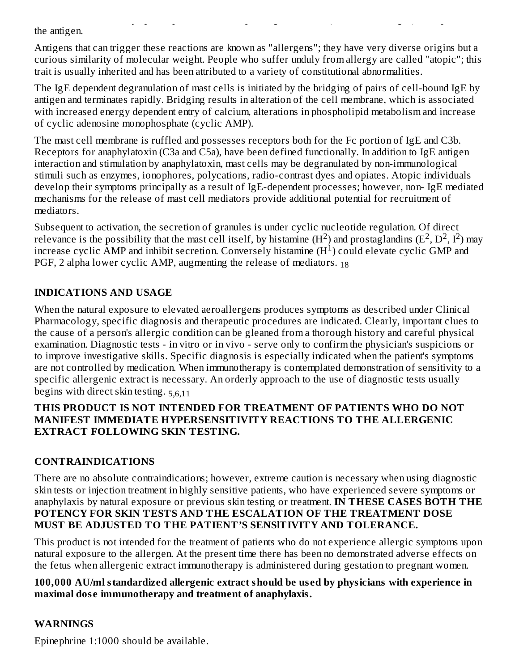one or more of these symptoms predominates, depending on the site (tissue shock organ) of exposure to the antigen.

Antigens that can trigger these reactions are known as "allergens"; they have very diverse origins but a curious similarity of molecular weight. People who suffer unduly from allergy are called "atopic"; this trait is usually inherited and has been attributed to a variety of constitutional abnormalities.

The IgE dependent degranulation of mast cells is initiated by the bridging of pairs of cell-bound IgE by antigen and terminates rapidly. Bridging results in alteration of the cell membrane, which is associated with increased energy dependent entry of calcium, alterations in phospholipid metabolism and increase of cyclic adenosine monophosphate (cyclic AMP).

The mast cell membrane is ruffled and possesses receptors both for the Fc portion of IgE and C3b. Receptors for anaphylatoxin (C3a and C5a), have been defined functionally. In addition to IgE antigen interaction and stimulation by anaphylatoxin, mast cells may be degranulated by non-immunological stimuli such as enzymes, ionophores, polycations, radio-contrast dyes and opiates. Atopic individuals develop their symptoms principally as a result of IgE-dependent processes; however, non- IgE mediated mechanisms for the release of mast cell mediators provide additional potential for recruitment of mediators.

Subsequent to activation, the secretion of granules is under cyclic nucleotide regulation. Of direct relevance is the possibility that the mast cell itself, by histamine  $(H^2)$  and prostaglandins  $(E^2, D^2, I^2)$  may increase cyclic AMP and inhibit secretion. Conversely histamine  $(H<sup>1</sup>)$  could elevate cyclic GMP and PGF, 2 alpha lower cyclic AMP, augmenting the release of mediators.  $_{18}$ 

## **INDICATIONS AND USAGE**

When the natural exposure to elevated aeroallergens produces symptoms as described under Clinical Pharmacology, specific diagnosis and therapeutic procedures are indicated. Clearly, important clues to the cause of a person's allergic condition can be gleaned from a thorough history and careful physical examination. Diagnostic tests - in vitro or in vivo - serve only to confirm the physician's suspicions or to improve investigative skills. Specific diagnosis is especially indicated when the patient's symptoms are not controlled by medication. When immunotherapy is contemplated demonstration of sensitivity to a specific allergenic extract is necessary. An orderly approach to the use of diagnostic tests usually begins with direct skin testing. 5,6,11

#### **THIS PRODUCT IS NOT INTENDED FOR TREATMENT OF PATIENTS WHO DO NOT MANIFEST IMMEDIATE HYPERSENSITIVITY REACTIONS TO THE ALLERGENIC EXTRACT FOLLOWING SKIN TESTING.**

## **CONTRAINDICATIONS**

There are no absolute contraindications; however, extreme caution is necessary when using diagnostic skin tests or injection treatment in highly sensitive patients, who have experienced severe symptoms or anaphylaxis by natural exposure or previous skin testing or treatment. **IN THESE CASES BOTH THE POTENCY FOR SKIN TESTS AND THE ESCALATION OF THE TREATMENT DOSE MUST BE ADJUSTED TO THE PATIENT'S SENSlTIVITY AND TOLERANCE.**

This product is not intended for the treatment of patients who do not experience allergic symptoms upon natural exposure to the allergen. At the present time there has been no demonstrated adverse effects on the fetus when allergenic extract immunotherapy is administered during gestation to pregnant women.

#### **100,000 AU/ml standardized allergenic extract should be us ed by physicians with experience in maximal dos e immunotherapy and treatment of anaphylaxis.**

## **WARNINGS**

Epinephrine 1:1000 should be available.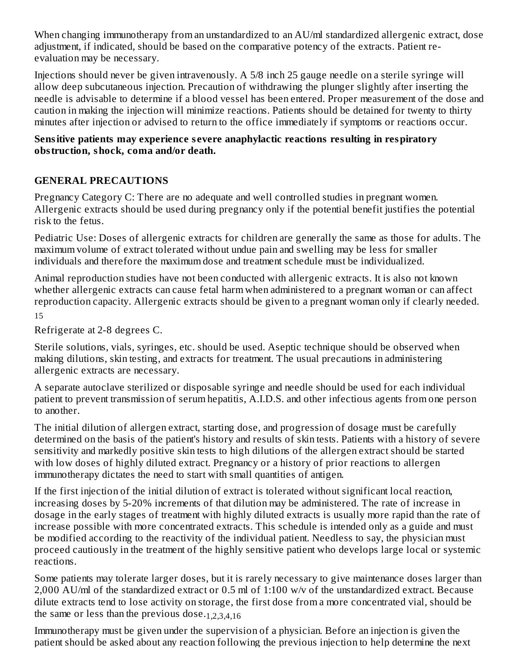When changing immunotherapy from an unstandardized to an AU/ml standardized allergenic extract, dose adjustment, if indicated, should be based on the comparative potency of the extracts. Patient reevaluation may be necessary.

Injections should never be given intravenously. A 5/8 inch 25 gauge needle on a sterile syringe will allow deep subcutaneous injection. Precaution of withdrawing the plunger slightly after inserting the needle is advisable to determine if a blood vessel has been entered. Proper measurement of the dose and caution in making the injection will minimize reactions. Patients should be detained for twenty to thirty minutes after injection or advised to return to the office immediately if symptoms or reactions occur.

#### **Sensitive patients may experience s evere anaphylactic reactions resulting in respiratory obstruction, shock, coma and/or death.**

## **GENERAL PRECAUTIONS**

Pregnancy Category C: There are no adequate and well controlled studies in pregnant women. Allergenic extracts should be used during pregnancy only if the potential benefit justifies the potential risk to the fetus.

Pediatric Use: Doses of allergenic extracts for children are generally the same as those for adults. The maximum volume of extract tolerated without undue pain and swelling may be less for smaller individuals and therefore the maximum dose and treatment schedule must be individualized.

Animal reproduction studies have not been conducted with allergenic extracts. It is also not known whether allergenic extracts can cause fetal harm when administered to a pregnant woman or can affect reproduction capacity. Allergenic extracts should be given to a pregnant woman only if clearly needed. 15

Refrigerate at 2-8 degrees C.

Sterile solutions, vials, syringes, etc. should be used. Aseptic technique should be observed when making dilutions, skin testing, and extracts for treatment. The usual precautions in administering allergenic extracts are necessary.

A separate autoclave sterilized or disposable syringe and needle should be used for each individual patient to prevent transmission of serum hepatitis, A.I.D.S. and other infectious agents from one person to another.

The initial dilution of allergen extract, starting dose, and progression of dosage must be carefully determined on the basis of the patient's history and results of skin tests. Patients with a history of severe sensitivity and markedly positive skin tests to high dilutions of the allergen extract should be started with low doses of highly diluted extract. Pregnancy or a history of prior reactions to allergen immunotherapy dictates the need to start with small quantities of antigen.

If the first injection of the initial dilution of extract is tolerated without significant local reaction, increasing doses by 5-20% increments of that dilution may be administered. The rate of increase in dosage in the early stages of treatment with highly diluted extracts is usually more rapid than the rate of increase possible with more concentrated extracts. This schedule is intended only as a guide and must be modified according to the reactivity of the individual patient. Needless to say, the physician must proceed cautiously in the treatment of the highly sensitive patient who develops large local or systemic reactions.

Some patients may tolerate larger doses, but it is rarely necessary to give maintenance doses larger than 2,000 AU/ml of the standardized extract or 0.5 ml of 1:100 w/v of the unstandardized extract. Because dilute extracts tend to lose activity on storage, the first dose from a more concentrated vial, should be the same or less than the previous dose.<sub>1,2,3,4,16</sub>

Immunotherapy must be given under the supervision of a physician. Before an injection is given the patient should be asked about any reaction following the previous injection to help determine the next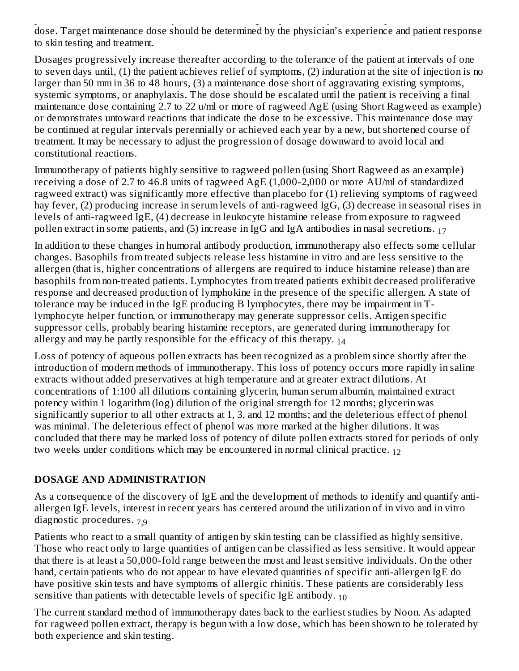patient should be asked about any reaction following the previous injection to help determine the next dose. Target maintenance dose should be determined by the physician's experience and patient response to skin testing and treatment.

Dosages progressively increase thereafter according to the tolerance of the patient at intervals of one to seven days until, (1) the patient achieves relief of symptoms, (2) induration at the site of injection is no larger than 50 mm in 36 to 48 hours, (3) a maintenance dose short of aggravating existing symptoms, systemic symptoms, or anaphylaxis. The dose should be escalated until the patient is receiving a final maintenance dose containing 2.7 to 22 u/ml or more of ragweed AgE (using Short Ragweed as example) or demonstrates untoward reactions that indicate the dose to be excessive. This maintenance dose may be continued at regular intervals perennially or achieved each year by a new, but shortened course of treatment. It may be necessary to adjust the progression of dosage downward to avoid local and constitutional reactions.

Immunotherapy of patients highly sensitive to ragweed pollen (using Short Ragweed as an example) receiving a dose of 2.7 to 46.8 units of ragweed AgE (1,000-2,000 or more AU/ml of standardized ragweed extract) was significantly more effective than placebo for (1) relieving symptoms of ragweed hay fever, (2) producing increase in serum levels of anti-ragweed IgG, (3) decrease in seasonal rises in levels of anti-ragweed IgE, (4) decrease in leukocyte histamine release from exposure to ragweed pollen extract in some patients, and (5) increase in IgG and IgA antibodies in nasal secretions.  $_{17}$ 

In addition to these changes in humoral antibody production, immunotherapy also effects some cellular changes. Basophils from treated subjects release less histamine in vitro and are less sensitive to the allergen (that is, higher concentrations of allergens are required to induce histamine release) than are basophils from non-treated patients. Lymphocytes from treated patients exhibit decreased proliferative response and decreased production of lymphokine in the presence of the specific allergen. A state of tolerance may be induced in the IgE producing B lymphocytes, there may be impairment in Tlymphocyte helper function, or immunotherapy may generate suppressor cells. Antigen specific suppressor cells, probably bearing histamine receptors, are generated during immunotherapy for allergy and may be partly responsible for the efficacy of this therapy.  $_{14}$ 

Loss of potency of aqueous pollen extracts has been recognized as a problem since shortly after the introduction of modern methods of immunotherapy. This loss of potency occurs more rapidly in saline extracts without added preservatives at high temperature and at greater extract dilutions. At concentrations of 1:100 all dilutions containing glycerin, human serum albumin, maintained extract potency within 1 logarithm (log) dilution of the original strength for 12 months; glycerin was significantly superior to all other extracts at 1, 3, and 12 months; and the deleterious effect of phenol was minimal. The deleterious effect of phenol was more marked at the higher dilutions. It was concluded that there may be marked loss of potency of dilute pollen extracts stored for periods of only two weeks under conditions which may be encountered in normal clinical practice. 12

## **DOSAGE AND ADMINISTRATION**

As a consequence of the discovery of IgE and the development of methods to identify and quantify antiallergen IgE levels, interest in recent years has centered around the utilization of in vivo and in vitro diagnostic procedures. 7,9

Patients who react to a small quantity of antigen by skin testing can be classified as highly sensitive. Those who react only to large quantities of antigen can be classified as less sensitive. It would appear that there is at least a 50,000-fold range between the most and least sensitive individuals. On the other hand, certain patients who do not appear to have elevated quantities of specific anti-allergen IgE do have positive skin tests and have symptoms of allergic rhinitis. These patients are considerably less sensitive than patients with detectable levels of specific IgE antibody.  $_{10}$ 

The current standard method of immunotherapy dates back to the earliest studies by Noon. As adapted for ragweed pollen extract, therapy is begun with a low dose, which has been shown to be tolerated by both experience and skin testing.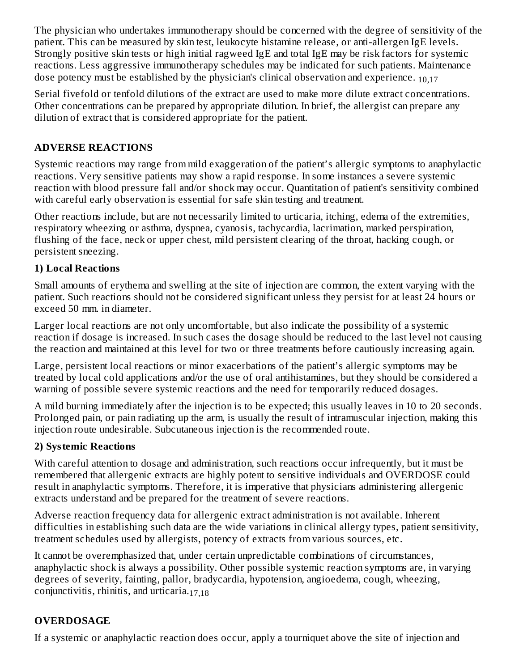The physician who undertakes immunotherapy should be concerned with the degree of sensitivity of the patient. This can be measured by skin test, leukocyte histamine release, or anti-allergen IgE levels. Strongly positive skin tests or high initial ragweed IgE and total IgE may be risk factors for systemic reactions. Less aggressive immunotherapy schedules may be indicated for such patients. Maintenance dose potency must be established by the physician's clinical observation and experience.  $_{10,17}$ 

Serial fivefold or tenfold dilutions of the extract are used to make more dilute extract concentrations. Other concentrations can be prepared by appropriate dilution. In brief, the allergist can prepare any dilution of extract that is considered appropriate for the patient.

## **ADVERSE REACTIONS**

Systemic reactions may range from mild exaggeration of the patient's allergic symptoms to anaphylactic reactions. Very sensitive patients may show a rapid response. In some instances a severe systemic reaction with blood pressure fall and/or shock may occur. Quantitation of patient's sensitivity combined with careful early observation is essential for safe skin testing and treatment.

Other reactions include, but are not necessarily limited to urticaria, itching, edema of the extremities, respiratory wheezing or asthma, dyspnea, cyanosis, tachycardia, lacrimation, marked perspiration, flushing of the face, neck or upper chest, mild persistent clearing of the throat, hacking cough, or persistent sneezing.

## **1) Local Reactions**

Small amounts of erythema and swelling at the site of injection are common, the extent varying with the patient. Such reactions should not be considered significant unless they persist for at least 24 hours or exceed 50 mm. in diameter.

Larger local reactions are not only uncomfortable, but also indicate the possibility of a systemic reaction if dosage is increased. In such cases the dosage should be reduced to the last level not causing the reaction and maintained at this level for two or three treatments before cautiously increasing again.

Large, persistent local reactions or minor exacerbations of the patient's allergic symptoms may be treated by local cold applications and/or the use of oral antihistamines, but they should be considered a warning of possible severe systemic reactions and the need for temporarily reduced dosages.

A mild burning immediately after the injection is to be expected; this usually leaves in 10 to 20 seconds. Prolonged pain, or pain radiating up the arm, is usually the result of intramuscular injection, making this injection route undesirable. Subcutaneous injection is the recommended route.

## **2) Systemic Reactions**

With careful attention to dosage and administration, such reactions occur infrequentIy, but it must be remembered that allergenic extracts are highly potent to sensitive individuals and OVERDOSE could result in anaphylactic symptoms. Therefore, it is imperative that physicians administering allergenic extracts understand and be prepared for the treatment of severe reactions.

Adverse reaction frequency data for allergenic extract administration is not available. Inherent difficulties in establishing such data are the wide variations in clinical allergy types, patient sensitivity, treatment schedules used by allergists, potency of extracts from various sources, etc.

It cannot be overemphasized that, under certain unpredictable combinations of circumstances, anaphylactic shock is always a possibility. Other possible systemic reaction symptoms are, in varying degrees of severity, fainting, pallor, bradycardia, hypotension, angioedema, cough, wheezing, conjunctivitis, rhinitis, and urticaria. 17,18

## **OVERDOSAGE**

If a systemic or anaphylactic reaction does occur, apply a tourniquet above the site of injection and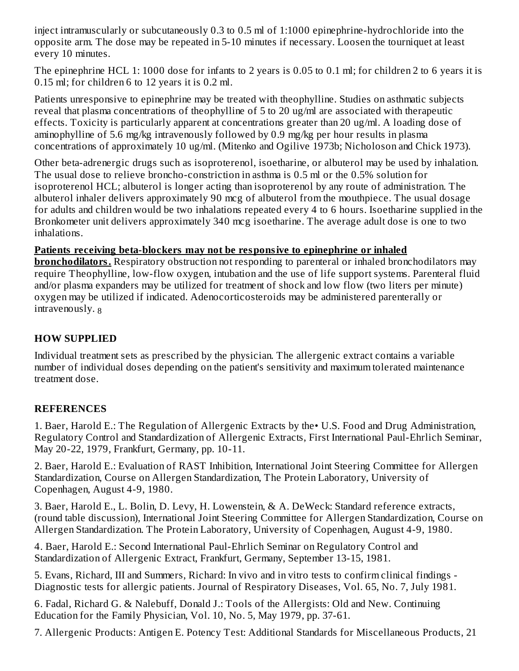inject intramuscularly or subcutaneously 0.3 to 0.5 ml of 1:1000 epinephrine-hydrochloride into the opposite arm. The dose may be repeated in 5-10 minutes if necessary. Loosen the tourniquet at least every 10 minutes.

The epinephrine HCL 1: 1000 dose for infants to 2 years is 0.05 to 0.1 ml; for children 2 to 6 years it is 0.15 ml; for children 6 to 12 years it is 0.2 ml.

Patients unresponsive to epinephrine may be treated with theophylline. Studies on asthmatic subjects reveal that plasma concentrations of theophylline of 5 to 20 ug/ml are associated with therapeutic effects. Toxicity is particularly apparent at concentrations greater than 20 ug/ml. A loading dose of aminophylline of 5.6 mg/kg intravenously followed by 0.9 mg/kg per hour results in plasma concentrations of approximately 10 ug/ml. (Mitenko and Ogilive 1973b; Nicholoson and Chick 1973).

Other beta-adrenergic drugs such as isoproterenol, isoetharine, or albuterol may be used by inhalation. The usual dose to relieve broncho-constriction in asthma is 0.5 ml or the 0.5% solution for isoproterenol HCL; albuterol is longer acting than isoproterenol by any route of administration. The albuterol inhaler delivers approximately 90 mcg of albuterol from the mouthpiece. The usual dosage for adults and children would be two inhalations repeated every 4 to 6 hours. Isoetharine supplied in the Bronkometer unit delivers approximately 340 mcg isoetharine. The average adult dose is one to two inhalations.

### **Patients receiving beta-blockers may not be responsive to epinephrine or inhaled**

**bronchodilators.** Respiratory obstruction not responding to parenteral or inhaled bronchodilators may require Theophylline, low-flow oxygen, intubation and the use of life support systems. Parenteral fluid and/or plasma expanders may be utilized for treatment of shock and low flow (two liters per minute) oxygen may be utilized if indicated. Adenocorticosteroids may be administered parenterally or intravenously. 8

### **HOW SUPPLIED**

Individual treatment sets as prescribed by the physician. The allergenic extract contains a variable number of individual doses depending on the patient's sensitivity and maximum tolerated maintenance treatment dose.

### **REFERENCES**

1. Baer, Harold E.: The Regulation of Allergenic Extracts by the• U.S. Food and Drug Administration, Regulatory Control and Standardization of Allergenic Extracts, First International Paul-Ehrlich Seminar, May 20-22, 1979, Frankfurt, Germany, pp. 10-11.

2. Baer, Harold E.: Evaluation of RAST Inhibition, International Joint Steering Committee for Allergen Standardization, Course on Allergen Standardization, The Protein Laboratory, University of Copenhagen, August 4-9, 1980.

3. Baer, Harold E., L. Bolin, D. Levy, H. Lowenstein, & A. DeWeck: Standard reference extracts, (round table discussion), International Joint Steering Committee for Allergen Standardization, Course on Allergen Standardization. The Protein Laboratory, University of Copenhagen, August 4-9, 1980.

4. Baer, Harold E.: Second International Paul-Ehrlich Seminar on Regulatory Control and Standardization of Allergenic Extract, Frankfurt, Germany, September 13-15, 1981.

5. Evans, Richard, III and Summers, Richard: In vivo and in vitro tests to confirm clinical findings - Diagnostic tests for allergic patients. Journal of Respiratory Diseases, Vol. 65, No. 7, July 1981.

6. Fadal, Richard G. & Nalebuff, Donald J.: Tools of the Allergists: Old and New. Continuing Education for the Family Physician, Vol. 10, No. 5, May 1979, pp. 37-61.

7. Allergenic Products: Antigen E. Potency Test: Additional Standards for Miscellaneous Products, 21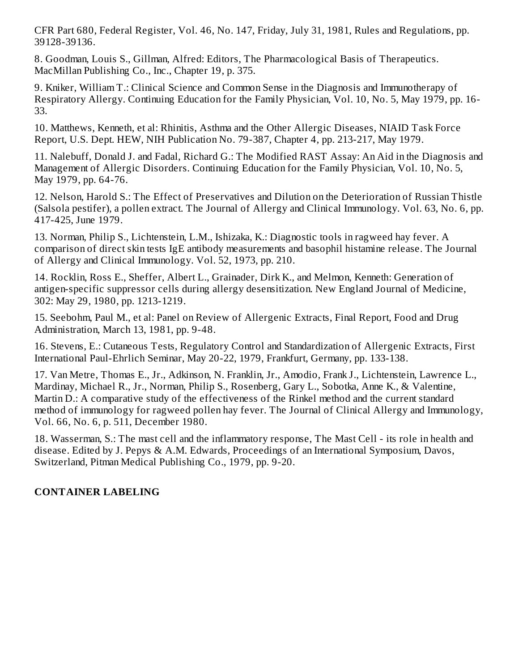CFR Part 680, Federal Register, Vol. 46, No. 147, Friday, July 31, 1981, Rules and Regulations, pp. 39128-39136.

8. Goodman, Louis S., Gillman, Alfred: Editors, The Pharmacological Basis of Therapeutics. MacMillan Publishing Co., Inc., Chapter 19, p. 375.

9. Kniker, William T.: Clinical Science and Common Sense in the Diagnosis and Immunotherapy of Respiratory Allergy. Continuing Education for the Family Physician, Vol. 10, No. 5, May 1979, pp. 16- 33.

10. Matthews, Kenneth, et al: Rhinitis, Asthma and the Other Allergic Diseases, NIAID Task Force Report, U.S. Dept. HEW, NIH Publication No. 79-387, Chapter 4, pp. 213-217, May 1979.

11. Nalebuff, Donald J. and Fadal, Richard G.: The Modified RAST Assay: An Aid in the Diagnosis and Management of Allergic Disorders. Continuing Education for the Family Physician, Vol. 10, No. 5, May 1979, pp. 64-76.

12. Nelson, Harold S.: The Effect of Preservatives and Dilution on the Deterioration of Russian Thistle (Salsola pestifer), a pollen extract. The Journal of Allergy and Clinical Immunology. Vol. 63, No. 6, pp. 417-425, June 1979.

13. Norman, Philip S., Lichtenstein, L.M., Ishizaka, K.: Diagnostic tools in ragweed hay fever. A comparison of direct skin tests IgE antibody measurements and basophil histamine release. The Journal of Allergy and Clinical Immunology. Vol. 52, 1973, pp. 210.

14. Rocklin, Ross E., Sheffer, Albert L., Grainader, Dirk K., and Melmon, Kenneth: Generation of antigen-specific suppressor cells during allergy desensitization. New England Journal of Medicine, 302: May 29, 1980, pp. 1213-1219.

15. Seebohm, Paul M., et al: Panel on Review of Allergenic Extracts, Final Report, Food and Drug Administration, March 13, 1981, pp. 9-48.

16. Stevens, E.: Cutaneous Tests, Regulatory Control and Standardization of Allergenic Extracts, First International Paul-Ehrlich Seminar, May 20-22, 1979, Frankfurt, Germany, pp. 133-138.

17. Van Metre, Thomas E., Jr., Adkinson, N. Franklin, Jr., Amodio, Frank J., Lichtenstein, Lawrence L., Mardinay, Michael R., Jr., Norman, Philip S., Rosenberg, Gary L., Sobotka, Anne K., & Valentine, Martin D.: A comparative study of the effectiveness of the Rinkel method and the current standard method of immunology for ragweed pollen hay fever. The Journal of Clinical Allergy and Immunology, Vol. 66, No. 6, p. 511, December 1980.

18. Wasserman, S.: The mast cell and the inflammatory response, The Mast Cell - its role in health and disease. Edited by J. Pepys & A.M. Edwards, Proceedings of an International Symposium, Davos, Switzerland, Pitman Medical Publishing Co., 1979, pp. 9-20.

### **CONTAINER LABELING**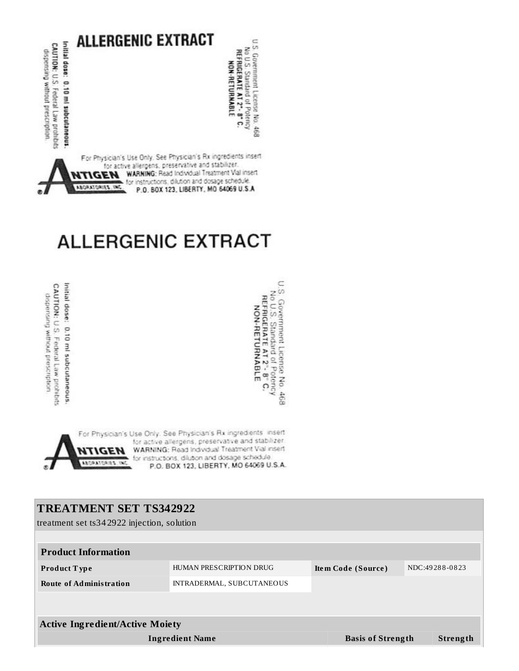

# **ALLERGENIC EXTRACT**

Initial dose: 0.10 ml subcutaneous. CAUTION: U.S. Federal Law prohibits dispension without presentation

U.S. Government License No. 468<br>No U.S. Standard of Potency<br>REFRIGERATE AT 2"- 8" C.<br>NON-RETURNABLE

For Physician's Use Only. See Physician's Rx ingredients insert for active allergens, preservative and stabilizer WARNING: Read Individual Treatment Vial insert ICEH for instructions, dilution and dosage schedule **ABORATORIES, INC.** P.O. BOX 123, LIBERTY, MO 64069 U.S.A.

## **TREATMENT SET TS342922**

treatment set ts34 2922 injection, solution

| <b>Product Information</b>             |                           |                           |                |  |  |  |
|----------------------------------------|---------------------------|---------------------------|----------------|--|--|--|
| <b>Product Type</b>                    | HUMAN PRESCRIPTION DRUG   | <b>Item Code (Source)</b> | NDC:49288-0823 |  |  |  |
| <b>Route of Administration</b>         | INTRADERMAL, SUBCUTANEOUS |                           |                |  |  |  |
|                                        |                           |                           |                |  |  |  |
| <b>Active Ingredient/Active Moiety</b> |                           |                           |                |  |  |  |
| <b>Ingredient Name</b>                 |                           | <b>Basis of Strength</b>  | Strength       |  |  |  |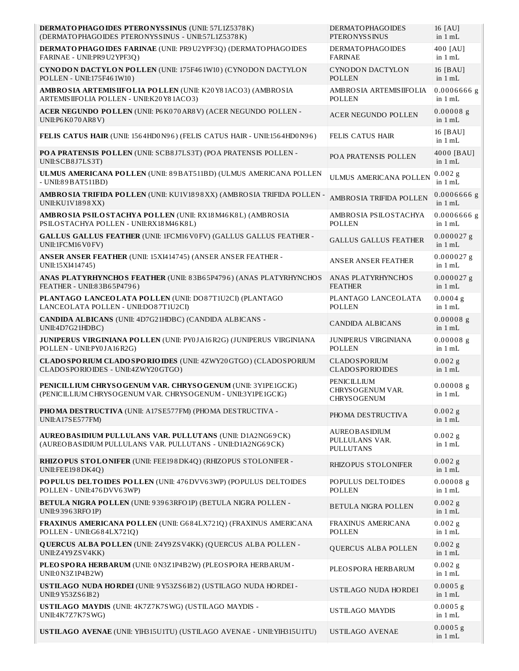| DERMATOPHAGOIDES PTERONYSSINUS (UNII: 57L1Z5378K)<br>(DERMATOPHAGOIDES PTERONYSSINUS - UNII:57L1Z5378K)                        | <b>DERMATOPHAGOIDES</b><br><b>PTERONYSSINUS</b>              | 16 [AU]<br>in $1 mL$       |
|--------------------------------------------------------------------------------------------------------------------------------|--------------------------------------------------------------|----------------------------|
| DERMATO PHAGO IDES FARINAE (UNII: PR9U2YPF3Q) (DERMATO PHAGO IDES<br>FARINAE - UNII: PR9 U2 YPF3Q)                             | <b>DERMATOPHAGOIDES</b><br><b>FARINAE</b>                    | 400 [AU]<br>in $1 mL$      |
| CYNODON DACTYLON POLLEN (UNII: 175F461W10) (CYNODON DACTYLON<br>POLLEN - UNII:175F461W10)                                      | <b>CYNODON DACTYLON</b><br><b>POLLEN</b>                     | 16 [BAU]<br>in $1 mL$      |
| AMBROSIA ARTEMISIIFOLIA POLLEN (UNII: K20Y81ACO3) (AMBROSIA<br>ARTEMISIIFOLIA POLLEN - UNII:K20Y81ACO3)                        | AMBROSIA ARTEMISIIFOLIA<br><b>POLLEN</b>                     | $0.0006666$ g<br>in $1 mL$ |
| ACER NEGUNDO POLLEN (UNII: P6K070AR8V) (ACER NEGUNDO POLLEN -<br>UNII:P6 K070 AR8 V)                                           | <b>ACER NEGUNDO POLLEN</b>                                   | $0.00008$ g<br>in $1$ mL   |
| FELIS CATUS HAIR (UNII: 1564HD0N96) (FELIS CATUS HAIR - UNII:1564HD0N96)                                                       | <b>FELIS CATUS HAIR</b>                                      | 16 [BAU]<br>in $1 mL$      |
| POA PRATENSIS POLLEN (UNII: SCB8J7LS3T) (POA PRATENSIS POLLEN -<br>UNII:SCB8J7LS3T)                                            | POA PRATENSIS POLLEN                                         | 4000 [BAU]<br>in $1 mL$    |
| ULMUS AMERICANA POLLEN (UNII: 89BAT511BD) (ULMUS AMERICANA POLLEN<br>$-$ UNII:89BAT511BD)                                      | <b>ULMUS AMERICANA POLLEN</b>                                | $0.002$ g<br>in $1 mL$     |
| AMBROSIA TRIFIDA POLLEN (UNII: KU1V1898XX) (AMBROSIA TRIFIDA POLLEN -<br>UNII:KU1V1898XX)                                      | AMBROSIA TRIFIDA POLLEN                                      | $0.0006666$ g<br>in $1 mL$ |
| AMBROSIA PSILOSTACHYA POLLEN (UNII: RX18 M46 K8L) (AMBROSIA<br>PSILOSTACHYA POLLEN - UNII:RX18M46K8L)                          | AMBROSIA PSILOSTACHYA<br><b>POLLEN</b>                       | $0.0006666$ g<br>in $1 mL$ |
| <b>GALLUS GALLUS FEATHER (UNII: 1FCM16 V0 FV) (GALLUS GALLUS FEATHER -</b><br>UNII:1FCM16V0FV)                                 | <b>GALLUS GALLUS FEATHER</b>                                 | $0.000027$ g<br>in $1 mL$  |
| ANSER ANSER FEATHER (UNII: 15XI414745) (ANSER ANSER FEATHER -<br>UNII:15XI414745)                                              | <b>ANSER ANSER FEATHER</b>                                   | $0.000027$ g<br>in $1 mL$  |
| ANAS PLATYRHYNCHOS FEATHER (UNII: 83B65P4796) (ANAS PLATYRHYNCHOS<br>FEATHER - UNII:83B65P4796)                                | ANAS PLATYRHYNCHOS<br><b>FEATHER</b>                         | $0.000027$ g<br>in $1 mL$  |
| PLANTAGO LANCEOLATA POLLEN (UNII: DO87T1U2CI) (PLANTAGO<br>LANCEOLATA POLLEN - UNII:DO87T1U2CI)                                | PLANTAGO LANCEOLATA<br><b>POLLEN</b>                         | $0.0004$ g<br>in $1 mL$    |
| CANDIDA ALBICANS (UNII: 4D7G21HDBC) (CANDIDA ALBICANS -<br>UNII:4D7G21HDBC)                                                    | <b>CANDIDA ALBICANS</b>                                      | $0.00008$ g<br>in $1 mL$   |
| JUNIPERUS VIRGINIANA POLLEN (UNII: PY0JA16R2G) (JUNIPERUS VIRGINIANA<br>POLLEN - UNII: PY0JA16R2G)                             | JUNIPERUS VIRGINIANA<br><b>POLLEN</b>                        | $0.00008$ g<br>in 1 mL     |
| CLADO SPORIUM CLADO SPORIO IDES (UNII: 4ZWY20 GTGO) (CLADO SPORIUM<br>CLADOSPORIOIDES - UNII:4ZWY20GTGO)                       | <b>CLADOSPORIUM</b><br><b>CLADOSPORIOIDES</b>                | 0.002g<br>in $1 mL$        |
| PENICILLIUM CHRYSO GENUM VAR. CHRYSO GENUM (UNII: 3Y1PE1GCIG)<br>(PENICILLIUM CHRYSOGENUM VAR. CHRYSOGENUM - UNII:3Y1PE1GCIG)  | <b>PENICILLIUM</b><br>CHRYSOGENUM VAR.<br><b>CHRYSOGENUM</b> | $0.00008$ g<br>in $1 mL$   |
| PHOMA DESTRUCTIVA (UNII: A17SE577FM) (PHOMA DESTRUCTIVA -<br>UNII:A17SE577FM)                                                  | PHOMA DESTRUCTIVA                                            | $0.002$ g<br>in 1 mL       |
| <b>AUREOBASIDIUM PULLULANS VAR. PULLUTANS (UNII: D1A2NG69CK)</b><br>(AUREOBASIDIUM PULLULANS VAR. PULLUTANS - UNII:D1A2NG69CK) | <b>AUREOBASIDIUM</b><br>PULLULANS VAR.<br><b>PULLUTANS</b>   | $0.002$ g<br>in $1 mL$     |
| RHIZOPUS STOLONIFER (UNII: FEE198DK4Q) (RHIZOPUS STOLONIFER -<br>UNII:FEE198DK4Q)                                              | RHIZOPUS STOLONIFER                                          | $0.002$ g<br>in 1 mL       |
| POPULUS DELTOIDES POLLEN (UNII: 476 DVV63WP) (POPULUS DELTOIDES<br>POLLEN - UNII:476 DVV63WP)                                  | POPULUS DELTOIDES<br>POLLEN                                  | $0.00008$ g<br>in $1 mL$   |
| BETULA NIGRA POLLEN (UNII: 93963RFO1P) (BETULA NIGRA POLLEN -<br>UNII:93963RFO1P)                                              | <b>BETULA NIGRA POLLEN</b>                                   | $0.002$ g<br>in $1 mL$     |
| FRAXINUS AMERICANA POLLEN (UNII: G684LX721Q) (FRAXINUS AMERICANA<br>POLLEN - UNII:G684LX721Q)                                  | FRAXINUS AMERICANA<br><b>POLLEN</b>                          | $0.002$ g<br>in 1 mL       |
| <b>QUERCUS ALBA POLLEN (UNII: Z4Y9ZSV4KK) (QUERCUS ALBA POLLEN -</b><br>UNII:Z4Y9ZSV4KK)                                       | QUERCUS ALBA POLLEN                                          | $0.002$ g<br>in 1 mL       |
| PLEOSPORA HERBARUM (UNII: 0N3Z1P4B2W) (PLEOSPORA HERBARUM -<br>UNII:0 N3Z1P4B2W)                                               | PLEOSPORA HERBARUM                                           | $0.002$ g<br>in $1 mL$     |
| USTILAGO NUDA HORDEI (UNII: 9Y53ZS6I82) (USTILAGO NUDA HORDEI -<br>UNII:9 Y53ZS6I82)                                           | USTILAGO NUDA HORDEI                                         | $0.0005$ g<br>in $1 mL$    |
| USTILAGO MAYDIS (UNII: 4K7Z7K7SWG) (USTILAGO MAYDIS -<br>UNII:4K7Z7K7SWG)                                                      | <b>USTILAGO MAYDIS</b>                                       | $0.0005$ g<br>in $1 mL$    |
| USTILAGO AVENAE (UNII: YIH315U1TU) (USTILAGO AVENAE - UNII: YIH315U1TU)                                                        | <b>USTILAGO AVENAE</b>                                       | $0.0005$ g<br>in 1 mL      |